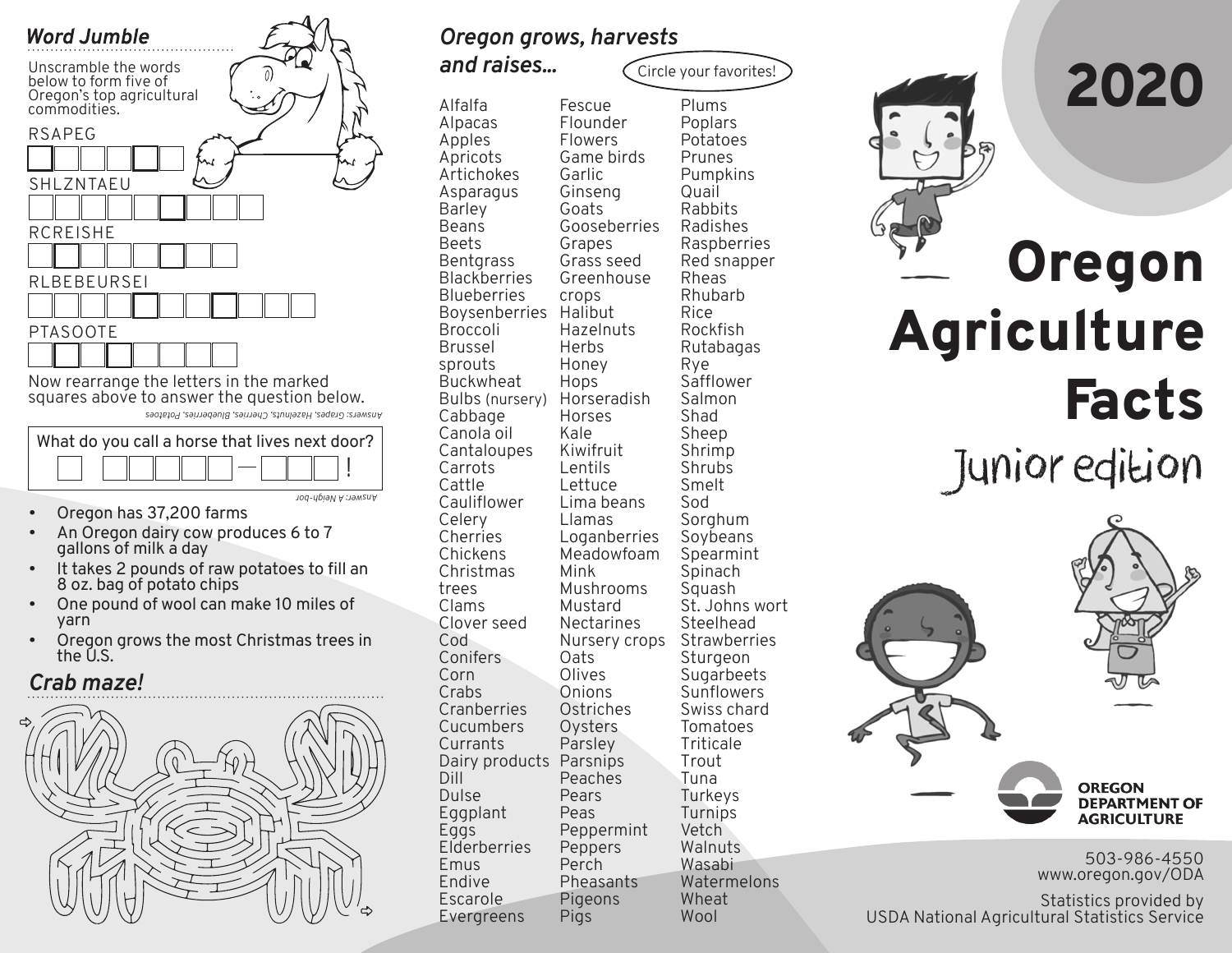

*Answers: Grapes, Hazelnuts, Cherries, Blueberries, Potatoes*



- Oregon has 37,200 farms
- An Oregon dairy cow produces 6 to 7 gallons of milk a day
- It takes 2 pounds of raw potatoes to fill an 8 oz. bag of potato chips
- One pound of wool can make 10 miles of yarn
- Oregon grows the most Christmas trees in the U.S.

## *Crab maze!*



*Oregon grows, harvests* 

Alfalfa Alpacas Apples Apricots Artichokes Asparagus Barley Beans Beets **Bentgrass Blackberries Blueberries** Boysenberries Halibut Broccoli Brussel sprouts **Buckwheat** Bulbs (nursery) Cabbage Canola oil Cantaloupes Carrots Cattle Cauliflower Celery Cherries Chickens Christmas trees Clams Clover seed Cod Conifers Corn **Crabs Cranberries** Cucumbers Currants Dairy products Parsnips Dill Dulse Eggplant Eggs Elderberries Emus Endive Escarole Evergreens Fescue Flounder Flowers Game birds Garlic Ginseng Goats Gooseberries Grapes Grass seed Greenhouse crops **Hazelnuts** Herbs Honey Hops Horseradish Horses Kale Kiwifruit Lentils Lettuce Lima beans Llamas **Loganberries** Meadowfoam Mink Mushrooms Mustard Nectarines Nursery crops Oats Olives Onions **Ostriches Oysters** Parsley Peaches Pears Peas Peppermint Peppers Perch Pheasants Pigeons Pigs Plums Poplars Potatoes Prunes Pumpkins Quail Rabbits Radishes Rheas Rhubarb Rice Rockfish Rutabagas Rye **Safflower** Salmon Shad Sheep Shrimp **Shrubs** Smelt Sod **Sorghum** Soybeans Spearmint Spinach Squash Steelhead Sturgeon Sunflowers Tomatoes Triticale Trout Tuna **Turkeys** Turnips **Vetch Walnuts** Wasabi Watermelons Wheat Wool Circle your favorites! *and raises...*

Raspberries Red snapper St. Johns wort **Strawberries Sugarbeets** Swiss chard

# Oregon Agriculture Facts Junior edition

**OREGON DEPARTMENT OF AGRICULTURE** 

503-986-4550 www.oregon.gov/ODA

Statistics provided by USDA National Agricultural Statistics Service